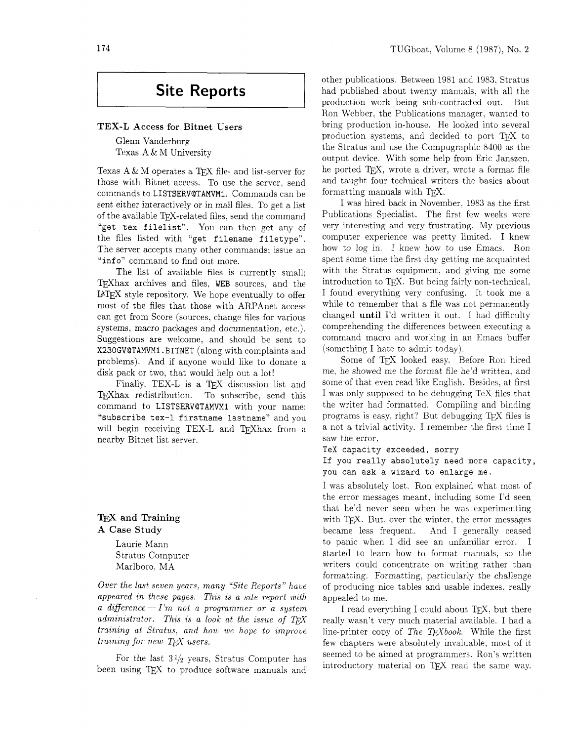# **Site Reports**

# TEX-L Access for Bitnet Users

Glenn Vanderburg Texas A & M University

Texas  $A \& M$  operates a TFX file- and list-server for those with Bitnet access. To use the server, send commands to **LISTSERVQTAMVMl.** Commands can be sent either interactively or in mail files. To get a list of the available TEX-related files, send the command "get tex filelist". You can then get any of the files listed with "get filename filetype". The server accepts many other commands: issue an "info" command to find out more.

The list of available files is currently small; TEXhax archives and files, WEB sources, and the IATEX style repository. We hope eventually to offer most of the files that those with ARPAnet access can get from Score (sources. change files for various systems, macro packages and documentation. etc.). Suggestions are welcome, and should be sent to **X23OGVQTAMVMl. BITNET** (along with complaints and problems). And if anyone would like to donate a disk pack or two, that would help out a lot!

Finally, TEX-L is a T<sub>EX</sub> discussion list and TEXhax redistribution. To subscribe, send this command to **LISTSERVQTAMVMl** with your name: "subscribe tex-1 firstname lastname" and you will begin receiving TEX-L and TFXhax from a nearby Bitnet list server.

# TEX and Training A Case Study

Laurie Mann Stratus Computer Marlboro, MA

*Over the last seven years, many "Site Reports" have appeared in these pages. This is a site report with a difference* - *I'm not a programmer or a system administrator.* This is a look at the issue of TFX *training at Stratus. and how we hope to improve training for new TFX users.* 

For the last  $3\frac{1}{2}$  years, Stratus Computer has been using T<sub>F</sub>X to produce software manuals and other publications. Between 1981 and 1983. Stratus had published about twenty manuals, with all the production work being sub-contracted out. But Ron Webber. the Publications manager. wanted to bring production in-house. He looked into several production systems, and decided to port TFX to the Stratus and use the Compugraphic 8400 as the output device. With some help from Eric Janszen, he ported T<sub>E</sub>X, wrote a driver, wrote a format file and taught four technical writers the basics about formatting manuals with TFX.

I was hired back in Yovember, 1983 as the first Publications Specialist. The first few weeks were very interesting and very frustrating. My previous computer experience was pretty limited. I knew how to log in. I knew how to use Emacs. Ron spent some time the first day getting me acquainted with the Stratus equipment. and giving me some introduction to TFX. But being fairly non-technical, I found everything very confusing. It took me a while to remember that a file was not permanently changed until I'd written it out. I had difficulty comprehending the differences between executing a command macro and working in an Emacs buffer (something I hate to admit today).

Some of TFX looked easy. Before Ron hired me. he showed me the format file he'd written. and some of that even read like English. Besides, at first I was only supposed to be debugging TeX files that the writer had formatted. Compiling and binding programs is easy, right? But debugging TFX files is a not a trivial activity. I remember the first time I saw the error.

TeX capacity exceeded, sorry

**If** you really absolutely need more capacity, you can ask a wizard to enlarge me.

I was absolutely lost. Ron explained what most of the error messages meant. including some I'd seen that he'd never seen when he was experimenting with TEX. But, over the winter, the error messages became less frequent. And I generally ceased And I generally ceased to panic when I did see an unfamiliar error. I started to learn how to format manuals. so the writers could concentrate on writing rather than formatting. Formatting, particularly the challenge of producing nice tables and usable indexes. really appealed to me.

I read everything I could about TFX, but there really wasn't very much material available. I had a line-printer copy of *The TFXbook*. While the first few chapters were absolutely invaluable, most of it seemed to be aimed at programmers. Ron's written introductory material on TFX read the same way.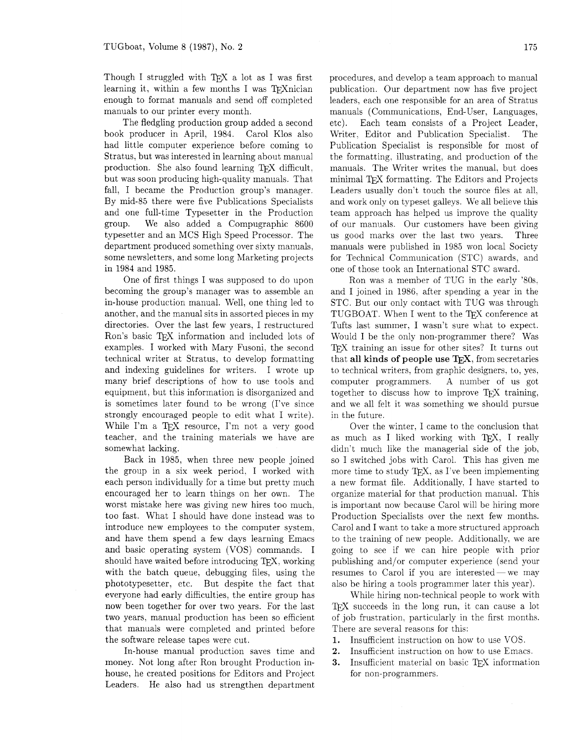Though I struggled with  $TFX$  a lot as I was first learning it, within a few months I was  $T_F Xnician$ enough to format manuals and send off completed manuals to our printer every month.

The fledgling production group added a second book producer in April, 1984. Carol Klos also had little computer experience before coming to Stratus, but was interested in learning about manual production. She also found learning TFX difficult, but was soon producing high-quality manuals. That fall. I became the Production group's manager. By mid-85 there were five Publications Specialists and one full-time Typesetter in the Production group. We also added a Compugraphic 8600 typesetter and an MCS High Speed Processor. The department produced something over sixty manuals. some newsletters. and some long Marketing projects in 1984 and 1985.

One of first things I was supposed to do upon becoming the group's manager was to assemble an in-house production manual. Well, one thing led to another, and the manual sits in assorted pieces in my directories. Over the last few years, I restructured Ron's basic TFX information and included lots of examples. I worked with Mary Fusoni, the second technical writer at Stratus, to develop formatting and indexing guidelines for writers. I wrote up many brief descriptions of how to use tools and equipment, but this information is disorganized and is sometimes later found to be wrong (I've since strongly encouraged people to edit what I write). While I'm a TFX resource. I'm not a very good teacher. and the training materials we have are somewhat lacking.

Back in 1985, when three new people joined the group in a six week period. I worked with each person individually for a time but pretty much encouraged her to learn things on her own. The worst mistake here was giving new hires too much. too fast. What I should have done instead was to introduce new employees to the computer system, and have them spend a few days learning Emacs and basic operating system (VOS) commands. I should have waited before introducing  $T_F X$ , working with the batch queue, debugging files, using the phototypesetter, etc. But despite the fact that everyone had early difficulties, the entire group has now been together for over two years. For the last two years, manual production has been so efficient that manuals were completed and printed before the software release tapes were cut.

In-house manual production saves time and money. Not long after Ron brought Production inhouse, he created positions for Editors and Project Leaders. He also had us strengthen department procedures, and develop a team approach to manual publication. Our department now has five project leaders, each one responsible for an area of Stratus manuals (Communications, End-User, Languages. etc). Each team consists of a Project Leader, Writer, Editor and Publication Specialist. The Publication Specialist is responsible for most of the formatting, illustrating, and production of the manuals. The Writer writes the manual. but does minimal TFJ formatting. The Editors and Projects Leaders usually don't touch the source files at all. and work only on typeset galleys. We all believe this team approach has helped us improve the quality of our manuals. Our customers have been giving us good marks over the last two years. Three manuals were published in 1985 won local Society for Technical Communication (STC) awards. and one of those took an International STC award.

Ron was a member of TUG in the early '80s, and I joined in 1986, after spending a year in the STC. But our only contact with TUG was through TUGBOAT. When I went to the TFX conference at Tufts last summer, I wasn't sure what to expect. Would I be the only non-programmer there? Was TEX training an issue for other sites? It turns out that **all kinds of people use T<sub>F</sub>X**, from secretaries to technical writers, from graphic designers. to, yes. computer programmers. A number of us got together to discuss how to improve T<sub>F</sub>X training, and we all felt it was something we should pursue in the future.

Over the winter. I came to the conclusion that as much as I liked working with TFX, I really didn't much like the managerial side of the job, so I switched jobs with Carol. This has given me more time to study  $T_F X$ , as I've been implementing a new format file. Additionally, I have started to organize material for that production manual. This is important now because Carol will be hiring more Production Specialists over the next few months. Carol and I want to take a more structured approach to the training of new people. Additionally. we are going to see if we can hire people with prior publishing and/or computer experience (send your resumes to Carol if you are interested — we may also be hiring a tools programmer later this year).

While hiring non-technical people to work with *QX* succeeds in the long run, it can cause a lot of job frustration. particularly in the first months. There are several reasons for this:

- **1.** Insufficient instruction on how to use VOS.
- **2.** Insufficient instruction on how to use Emacs.
- **3.** Insufficient material on basic TFX information for non-programmers.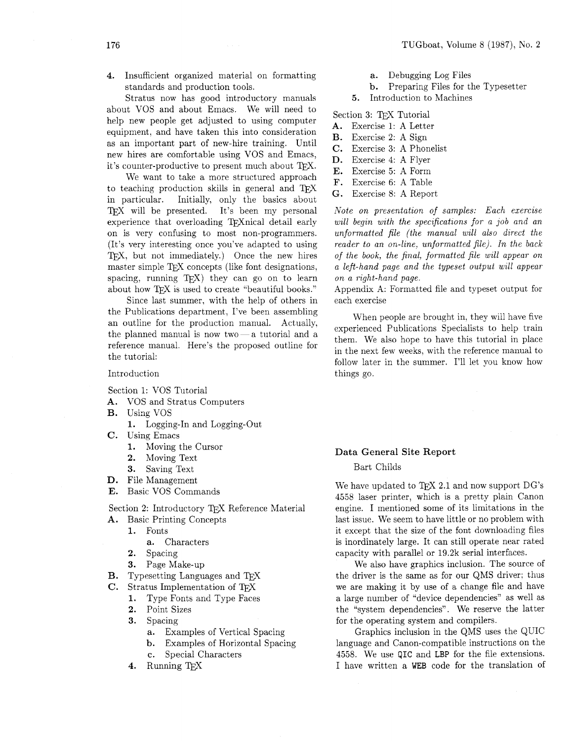**4.** Insufficient organized material on formatting standards and production tools.

Stratus now has good introductory manuals about VOS and about Emacs. We will need to help new people get adjusted to using computer equipment, and have taken this into consideration as an important part of new-hire training. Until new hires are comfortable using VOS and Emacs, it's counter-productive to present much about TFX.

We want to take a more structured approach to teaching production skills in general and TEX in particular. Initially, only the basics about TFX will be presented. It's been my personal experience that overloading TFXnical detail early on is very confusing to most non-programmers. (It's very interesting once you've adapted to using TFX, but not immediately.) Once the new hires master simple T<sub>F</sub>X concepts (like font designations, spacing, running  $TFX$ ) they can go on to learn about how TFX is used to create "beautiful books."

Since last summer, with the help of others in the Publications department, I've been assembling an outline for the production manual. Actually. the planned manual is now two $-a$  tutorial and a reference manual. Here's the proposed outline for the tutorial:

#### Introduction

Section 1: VOS Tutorial

- **A.** VOS and Stratus Computers
- B. Using VOS
	- 1. Logging-In and Logging-Out
- *C.* Using Emacs
	- 1. Moving the Cursor<br>2. Moving Text
	- **2.** Moving Text
	- **3.** Saving Text
- D. File Management
- E. Basic VOS Commands

Section 2: Introductory TFX Reference Material

- **A.** Basic Printing Concepts
	- 1. Fonts
		- **a.** Characters
	- **2.** Spacing
	- **3.** Page Make-up
- B. Typesetting Languages and TFX
- **C.** Stratus Implementation of TFX
	- 1. Type Fonts and Type Faces
	- $2.$ Point Sizes
	- 3. Spacing
		- **a.** Examples of Vertical Spacing
		- b. Examples of Horizontal Spacing
		- *c.* Special Characters
	- 4. Running TFX
- **a.** Debugging Log Files
- b. Preparing Files for the Typesetter
- 5. Introduction to Machines

Section 3: T<sub>F</sub>X Tutorial

- **A.** Exercise 1: A Letter
- B. Exercise 2: A Sign
- *C.* Exercise 3: A Phonelist
- **D.** Exercise 4: A Flyer
- E. Exercise 5: A Form
- F. Exercise 6: A Table
- **G.** Exercise 8: A Report

*Note on presentation of samples: Each exercise will begin with the specifications for a job and an unformatted file (the manual will also direct the reader to an on-line, unformatted file). In the back of the book, the final, formatted file will appear on a left-hand page and the typeset output will appear on a right-hand page.* 

Appendix A: Formatted file and typeset output for each exercise

When people are brought in, they will have five experienced Publications Specialists to help train them. We also hope to have this tutorial in place in the next few weeks, with the reference manual to follow later in the summer. I'll let you know how things go.

#### **Data General Site Report**

Bart Childs

We have updated to TFX 2.1 and now support  $DG$ 's 4558 laser printer, which is a pretty plain Canon engine. I mentioned some of its limitations in the last issue. We seem to have little or no problem with it except that the size of the font downloading files is inordinately large. It can still operate near rated capacity with parallel or 19.2k serial interfaces.

We also have graphics inclusion. The source of the driver is the same as for our QMS driver: thus we are making it by use of a change file and have a large number of "device dependencies" as well as the "system dependencies". We reserve the latter for the operating system and compilers.

Graphics inclusion in the QMS uses the QUIC language and Canon-compatible instructions on the 4558. We use QIC and LBP for the file extensions. I have written a WEB code for the translation of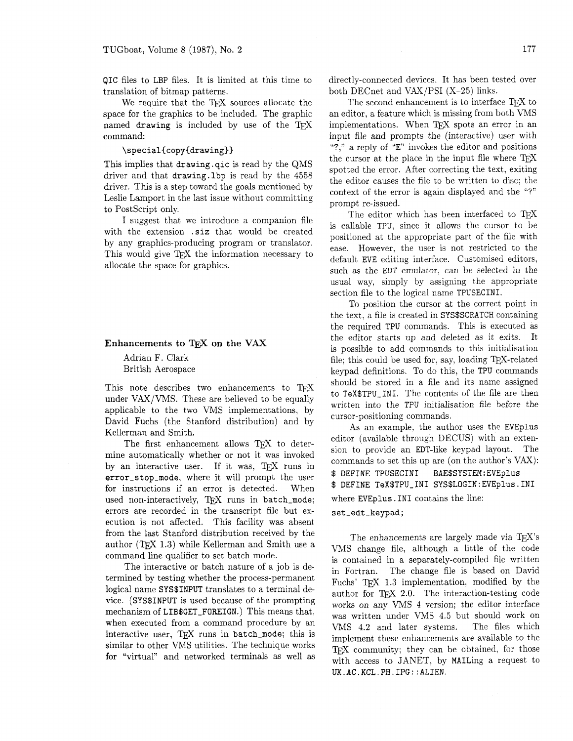translation of bitmap patterns. both DECnet and VAX/PSI (X-25) links.

named drawing is included by use of the  $T_{\rm EX}$  implementations. When  $T_{\rm EX}$  spots an error in an command:<br>input file and prompts the (interactive) user with

### \special{copy{drawing}}

This implies that drawing.qic is read by the QMS driver and that drawing. lbp is read by the 4558 driver. This is a step toward the goals mentioned by Leslie Lamport in the last issue without committing to PostScript only.

I suggest that we introduce a companion file with the extension .siz that would be created by any graphics-producing program or translator. This would give TFX the information necessary to allocate the space for graphics.

under VAX/VMS. These are believed to be equally  $\frac{1}{100}$  to Tex\$TPU-INI. The contents of the file are then

by an interactive user. If it was, TEX runs in<br>error\_stop\_mode, where it will prompt the user  $\frac{E}{2}$  DEFINE TPUSECINI BAE\$SYSTEM:EVEplus for instructions if an error is detected. When \$ DEFINE TeX\$TPU\_INI SYS\$LOGIN:EVEplus.INI used non-interactively, TEX runs in batch\_mode; errors are recorded in the transcript file but execution is not affected. This facility was absent from the last Stanford distribution received by the author (TFX 1.3) while Kellerman and Smith use a command line qualifier to set batch mode.

The interactive or batch nature of a job is determined by testing whether the process-permanent logical name SYS\$INPUT translates to a terminal device. (SYS\$INPUT is used because of the prompting mechanism of LIB\$GET-FOREIGN.) This means that, when executed from a command procedure by an interactive user, TFX runs in batch\_mode; this is similar to other VMS utilities. The technique works for "virtual" and networked terminals as well as

QIC files to LBP files. It is limited at this time to directly-connected devices. It has been tested over

We require that the TEX sources allocate the The second enhancement is to interface TEX to space for the graphics to be included. The graphic an editor, a feature which is missing from both VMS an editor, a feature which is missing from both VMS input file and prompts the (interactive) user with "?," a reply of "E" invokes the editor and positions the cursor at the place in the input file where  $T_F X$ spotted the error. After correcting the text, exiting the editor causes the file to be written to disc; the context of the error is again displayed and the "?" prompt re-issued.

> The editor which has been interfaced to TFX is callable TPU, since it allows the cursor to be positioned at the appropriate part of the file with ease. However, the user is not restricted to the default EVE editing interface. Customised editors. such as the EDT emulator, can be selected in the usual way, simply by assigning the appropriate section file to the logical name TPUSECINI.

To position the cursor at the correct point in the text, a file is created in SYS\$SCRATCH containing the required TPU commands. This is executed as **Enhancements to TFX on the VAX** the editor starts up and deleted as it exits. It is possible to add commands to this initialisation Adrian F. Clark file; this could be used for, say, loading TEX-related<br>British Aerospace beyond definitions. To do this, the TPU commands keypad definitions. To do this, the TPU commands This note describes two enhancements to  $T_{E}X$  should be stored in a file and its name assigned to  $T_{E}X$  to  $T_{E}X$  for  $T_{E}X$ . The contents of the file are then

applicable to the two VMS implementations, by<br>
David Fuchs (the Stanford distribution) and by<br>
Kellerman and Smith.<br>
The first enhancement allows TEX to deter-<br>
mine automatically whether or not it was invoked<br>
by an inter where EVEplus . IN1 contains the line:

set\_edt\_keypad;

The enhancements are largely made via TFX's VMS change file, although a little of the code is contained in a separately-compiled file written in Fortran. The change file is based on David Fuchs' T<sub>F</sub>X 1.3 implementation, modified by the author for TFX 2.0. The interaction-testing code works on any VMS 4 version; the editor interface was written under VMS 4.5 but should work on VMS 4.2 and later systems. The files which implement these enhancements are available to the TFX community; they can be obtained, for those with access to JANET, by MAILing a request to **UK.AC.KCL.PH.IPG::ALIEN.**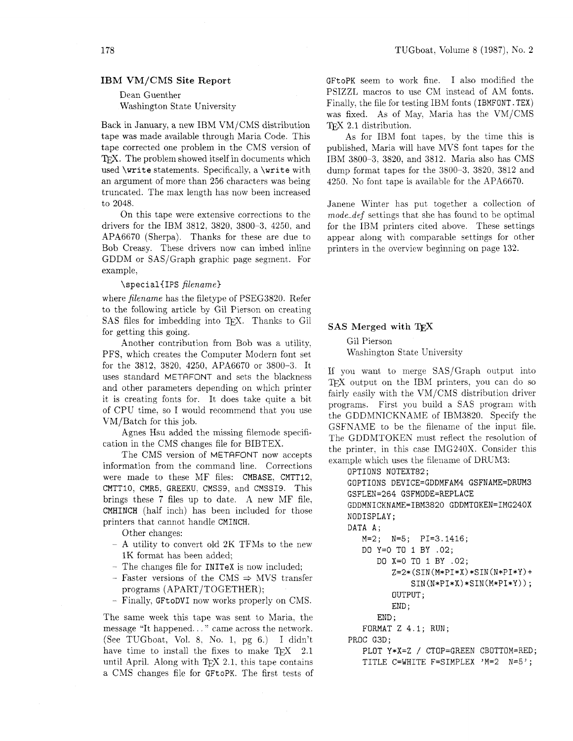#### **IBM VM/CMS Site Report**

### Dean Guenther Washington State University

Back in January, a new IBM VM/CMS distribution tape was made available through Maria Code. This tape corrected one problem in the CMS version of TFX. The problem showed itself in documents which used **\write** statements. Specifically, a **\write** with an argument of more than 256 characters was being truncated. The max length has now been increased to 2048.

On this tape were extensive corrections to the drivers for the IBM 3812. 3820, 3800-3, 4250. and APA6670 (Sherpa). Thanks for these are due to Bob Creasy. These drivers now can imbed inline GDDM or SAS/Graph graphic page segment. For example,

#### \specialiIPS *filename)*

where *filename* has the filetype of PSEG3820. Refer to the following article by Gil Pierson on creating SAS files for imbedding into TFX. Thanks to Gil for getting this going.

Another contribution from Bob was a utility. PFS, which creates the Computer Modern font set for the 3812, 3820, 4250, APA6670 or 3800-3. It uses standard METAFONT and sets the blackness and other parameters depending on which printer it is creating fonts for. It does take quite a bit of CPU time, so I would recommend that you use VM/Batch for this job.

Agnes Hsu added the missing filemode specification in the CMS changes file for BIBTEX.

The CMS version of METAFONT now accepts information from the command line. Corrections were made to these MF files: CMBASE, CMTT12, CMTTIO, CMRS, GREEKU; CMSS9, and CMSSI9. This brings these 7 files up to date. A new MF file, CMHINCH (half inch) has been included for those printers that cannot handle CMINCH.

Other changes:

- A utility to convert old 2K TFMs to the new 1K format has been added;
- The changes file for INITeX is now included;
- Faster versions of the CMS  $\Rightarrow$  MVS transfer programs (APART/TOGETHER);
- Finally, GFtoDVI now works properly on CMS.

The same week this tape was sent to Maria. the message "It happened.. . " came across the network. (See TUGboat, Vol. 8, No. 1. pg 6.) I didn't have time to install the fixes to make  $T_F X$  2.1 until April. Along with  $T_F X$  2.1, this tape contains a CMS changes file for GFtoPK. The first tests of GFtoPK seem to work fine. I also modified the PSIZZL macros to use CM instead of AM fonts. Finally, the file for testing IBM fonts (IBMFONT. TEX) was fixed. As of May. Maria has the VM/CMS TFX 2.1 distribution.

As for IBM font tapes. by the time this is published, Maria will have MVS font tapes for the IBM 3800-3. 3820, and 3812. Maria also has CMS dump format tapes for the 3800-3. 3820, 3812 and 4250. No font tape is available for the APA6670.

Janene Winter has put together a collection of mode-def settings that she has found to be optimal for the IBM printers cited above. These settings appear along with cornparable settings for other printers in the overview beginning on page 132.

#### **SAS Merged with**

Gil Pierson Washington State University

If you want to merge SASJGraph output into TEX output on the IBM printers, you can do so fairly easily with the VM/CMS distribution driver programs. First you build a SAS program with the GDDMNICKNAME of IBM3820. Specify the GSFNAME to be the filename of the input file. The GDDMTOKEN must reflect the resolution of the printer, in this case IMG240X. Consider this example which uses the filename of DRLM3:

OPTIONS NOTEXT82; GOPTIONS DEVICE=GDDMFAM4 GSFNAME=DRUM3 GSFLEN=264 GSFMODE=REPLACE GDDMNICKNAME=IBM3820 GDDMTOKEN=IMG240X NODISPLAY; DATA A; M=2; N=5; PI=3.1416; DO Y=O TO 1 BY .02; DO X=O TO I BY .02;  $Z=2*(SIN(M*PI*X)*SIN(N*PI*Y)+$ SIN(N\*PI\*X)\*SIN(M\*PI\*Y)); OUTPUT ; END ; END ; FORMAT Z 4.1; RUN; PROC G3D; PLOT Y\*X=Z / CTOP=GREEN CBOTTOM=RED; TITLE C=WHITE F=SIMPLEX 'M=2 N=5';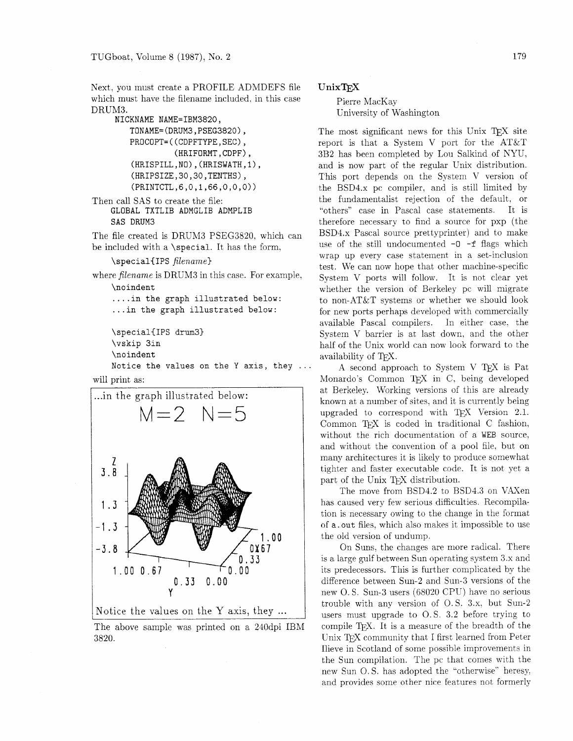Next. you must create a PROFILE ADMDEFS file which must have the filename included, in this case DRUM3.

```
NICKNAME NAME=IBM3820, 
   TONAME= (DRUM3, PSEG3820) , 
   PROCOPT= ( (CDPFTYPE, SEC) , 
              (HRIFORMT,CDPF), 
   (HRISPILL ,NO) , (HRISWATH ,1) , 
   (HRIPSIZE,30,30,TENTHS), 
   (PRINTCTL,6,0,l,66,0,0,0))
```

```
Then call SAS to create the file: 
    GLOBAL TXTLIB ADMGLIB ADMPLIB 
    SAS DRUM3
```
The file created is DRUM3 PSEG3820. which can be included with a **\special.** It has the form.

```
\specialCIPS filename)
```
where *filename* is DRUM3 in this case. For example. **\no indent** 

```
.... in the graph illustrated below: 
... in the graph illustrated below:
```

```
\special{IPS drum31 
\vskip 3in 
\no indent 
Notice the values on the Y axis, they ..
```

```
vill print as:
```




The above sample was printed on a 240dpi IBM 3820.

## UnixT<sub>F</sub>X

Pierre MacKay University of Washington

The most significant news for this Unix TEX site report is that a System V port for the AT&T 3B2 has been completed by Lou Salkind of NYU, and is now part of the regular Unix distribution. This port depends on the System V version of the BSD4.x pc compiler. and is still limited by the fundamentalist rejection of the default. or "others" case in Pascal case statements It is therefore necessary to find a source for pxp (the BSD4.x Pascal source prettyprinter) and to make use of the still undocumented  $-0$   $-f$  flags which wrap up every case statement in a set-inclusion test. We can now hope that other machine-specific System V ports will follow. It is not clear yet whether the version of Berkeley pc will migrate to non-AT&T systems or whether we should look for new ports perhaps developed with commercially available Pascal compilers. In either case. the System V barrier is at last down, and the other half of the Unix world can now look forward to the availability of QX.

A second approach to System V TFX is Pat Monardo's Common TFX in C, being developed at Berkeley. Working versions of this are already known at a number of sites, and it is currently being upgraded to correspond with TEX Version 2.1. Common TEX is coded in traditional C fashion, without the rich documentation of a **WEB** source, and without the convention of a pool file, but on many architectures it is likely to produce somewhat tighter and faster executable code. It is not yet a part of the Unix TFX distribution.

The move from BSD4.2 to BSD4.3 on VAXen has caused very few serious difficulties. Recompilation is necessary owing to the change in the format of **a. out** files, which also makes it impossible to use the old version of undump.

On Suns. the changes are more radical. There is a large gulf between Sun operating system 3.x and its predecessors. This is further complicated by the difference between Sun-2 and Sun-3 versions of the new 0. S. Sun-3 users (68020 CPU) have no serious trouble with any version of 0. S. 3.x. but Sun-2 users must upgrade to *0.* S. 3.2 before trying to compile T<sub>F</sub>X. It is a measure of the breadth of the Unix TFX community that I first learned from Peter Ilieve in Scotland of some possible improvements in the Sun compilation. The pc that comes with the new Sun 0. S. has adopted the "otherwise" heresy. and provides some other nice features not formerly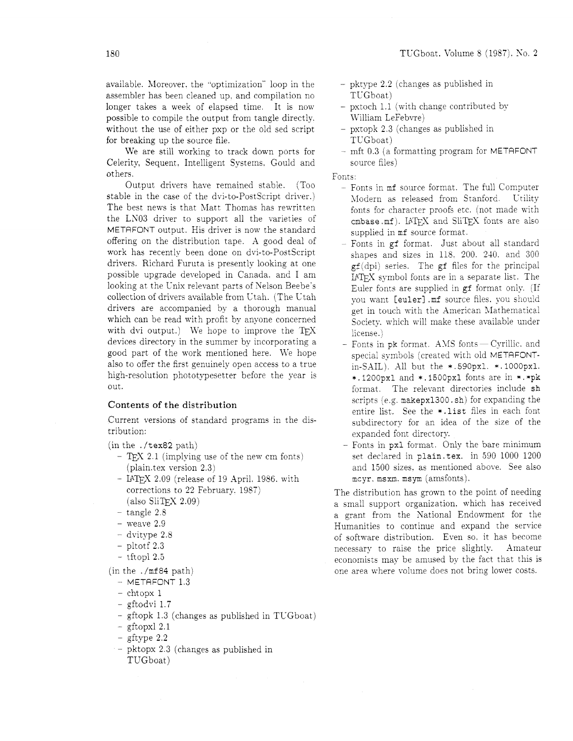available. Moreover, the "optimization" loop in the assembler has been cleaned up. and compilation no longer takes a week of elapsed time. It is now possible to compile the output from tangle directly. without the use of either pxp or the old sed script for breaking up the source file.

We are still working to track down ports for Celerity. Sequent. Intelligent Systems. Gould and others.

Output drivers have remained stable. (Too stable in the case of the dvi-to-PostScript driver.) The best news is that Matt Thomas has rewritten the LN03 driver to support all the varieties of METAFONT output. His driver is now the standard offering on the distribution tape. A good deal of work has recently been done on dvi-to-PostScript drivers. Richard Furuta is presently looking at one possible upgrade developed in Canada. and I am looking at the Unix relevant parts of Nelson Beebe's collection of drivers available from Utah. (The Utah drivers are accompanied by a thorough manual which can be read with profit by anyone concerned with dvi output.) We hope to improve the TFX devices directory in the summer by incorporating a good part of the work mentioned here. We hope also to offer the first genuinely open access to a true high-resolution phototypesetter before the year is out.

### Contents of the distribution

Current versions of standard programs in the distribution:

(in the . /tex82 path)

- $-$  T<sub>E</sub>X 2.1 (implying use of the new cm fonts) (plain.tex version 2.3)
- LATEX 2.09 (release of 19 April. 1986. with corrections to 22 February. 1987)  $(a$ lso SliT<sub>F</sub>X 2.09)
- tangle 2.8
- weave 2.9
- dvitype 2.8
- pltotf 2.3
- tftopl 2.5

(in the . /mf84 path)

- $-$  METAFONT  $1.3$
- $-$  chtopx 1
- gftodvi 1.7
- gftopk 1.3 (changes as published in TUGboat)
- $-$  gftopxl 2.1
- $-$  gftype  $2.2$
- pktopx 2.3 (changes as published in TUGboat)
- pktype 2.2 (changes as published in TUGboat)
- pxtoch 1.1 (with change contributed by William LeFebvre)
- pxtopk 2.3 (changes as published in TUGboat)
- mft 0.3 (a formatting program for METAFONT source files)

Fonts

- Fonts in mf source format. The full Computer Modern as released from Stanford. Utility fonts for character proofs etc. (not made with cmbase.mf). LATEX and SliTEX fonts are also supplied in mf source format.
- Fonts in gf format. Just about all standard shapes and sizes in 118. 200. 210. and 300  $gf(dpi)$  series. The gf files for the principal LbGY symbol fonts are in a separate list. The Euler fonts are supplied in gf format only. (If you want [euler] .mf source files. you should get in touch with the American Mathematical Society, which will make these available under license .)
- $-$  Fonts in pk format. AMS fonts  $-Cyr$ illic. and special symbols (created with old METAFONTin-SAIL) A11 but the \* .590pxl. \*. 1000pxl. \*. 1200pxl and \*. l5OOpxl fonts are in \*. \*pk format. The relevant directories include sh scripts (e.g. makepx1300. sh) for expanding the entire list. See the \*.list files in each font subdirectory for an idea of the size of the expanded font directory.
- Fonts in pxl format. Only the bare minimum set declared in plain. tex. in 590 1000 1200 and 1500 sizes. as mentioned above. See also mcyr. msxm. msyrn (amsfonts).

The distribution has grown to the point of needing a small support organization. which has received a grant from the National Endowment for the Humanities to continue and expand the service of softx-are distribution. Even so. it has become necessary to raise the price slightly. Amateur economists may be amused by the fact that this is one area where volume does not bring lower costs.